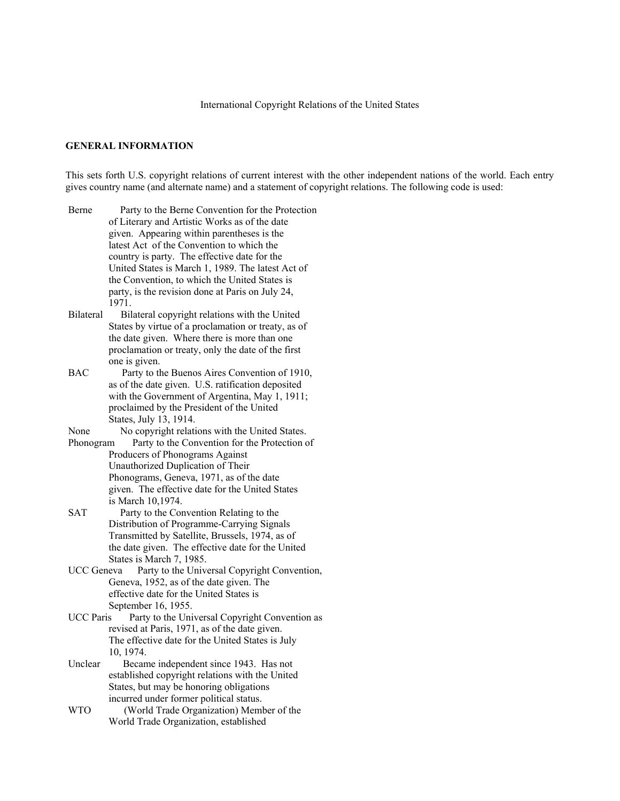### **GENERAL INFORMATION**

This sets forth U.S. copyright relations of current interest with the other independent nations of the world. Each entry gives country name (and alternate name) and a statement of copyright relations. The following code is used:

- Berne Party to the Berne Convention for the Protection of Literary and Artistic Works as of the date given. Appearing within parentheses is the latest Act of the Convention to which the country is party. The effective date for the United States is March 1, 1989. The latest Act of the Convention, to which the United States is party, is the revision done at Paris on July 24, 1971.
- Bilateral Bilateral copyright relations with the United States by virtue of a proclamation or treaty, as of the date given. Where there is more than one proclamation or treaty, only the date of the first one is given.<br>BAC Party to the

Party to the Buenos Aires Convention of 1910, as of the date given. U.S. ratification deposited with the Government of Argentina, May 1, 1911; proclaimed by the President of the United States, July 13, 1914.

 None No copyright relations with the United States. Phonogram Party to the Convention for the Protection of

 Producers of Phonograms Against Unauthorized Duplication of Their Phonograms, Geneva, 1971, as of the date given. The effective date for the United States is March 10,1974.<br>SAT Party to the Cor

- Party to the Convention Relating to the Distribution of Programme-Carrying Signals Transmitted by Satellite, Brussels, 1974, as of the date given. The effective date for the United States is March 7, 1985.
- UCC Geneva Party to the Universal Copyright Convention, Geneva, 1952, as of the date given. The effective date for the United States is September 16, 1955.
- UCC Paris Party to the Universal Copyright Convention as revised at Paris, 1971, as of the date given. The effective date for the United States is July 10, 1974.
- Unclear Became independent since 1943. Has not established copyright relations with the United States, but may be honoring obligations incurred under former political status.
- WTO (World Trade Organization) Member of the World Trade Organization, established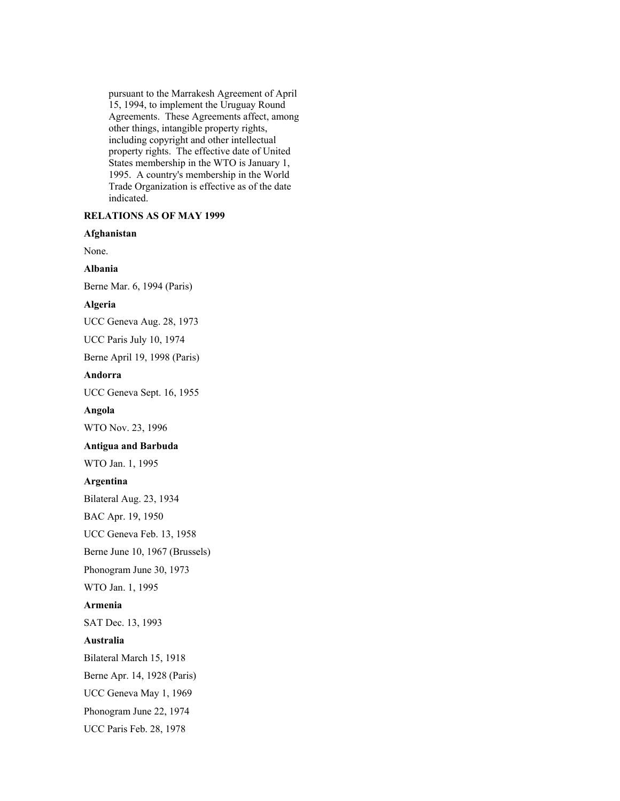pursuant to the Marrakesh Agreement of April 15, 1994, to implement the Uruguay Round Agreements. These Agreements affect, among other things, intangible property rights, including copyright and other intellectual property rights. The effective date of United States membership in the WTO is January 1, 1995. A country's membership in the World Trade Organization is effective as of the date indicated.

### **RELATIONS AS OF MAY 1999**

**Afghanistan**

None.

**Albania**

Berne Mar. 6, 1994 (Paris)

**Algeria**

UCC Geneva Aug. 28, 1973

UCC Paris July 10, 1974

Berne April 19, 1998 (Paris)

**Andorra**

UCC Geneva Sept. 16, 1955

**Angola**

WTO Nov. 23, 1996

**Antigua and Barbuda**

WTO Jan. 1, 1995

## **Argentina**

Bilateral Aug. 23, 1934

BAC Apr. 19, 1950

UCC Geneva Feb. 13, 1958

Berne June 10, 1967 (Brussels)

Phonogram June 30, 1973

WTO Jan. 1, 1995

**Armenia**

SAT Dec. 13, 1993

## **Australia**

Bilateral March 15, 1918

Berne Apr. 14, 1928 (Paris)

UCC Geneva May 1, 1969

Phonogram June 22, 1974

UCC Paris Feb. 28, 1978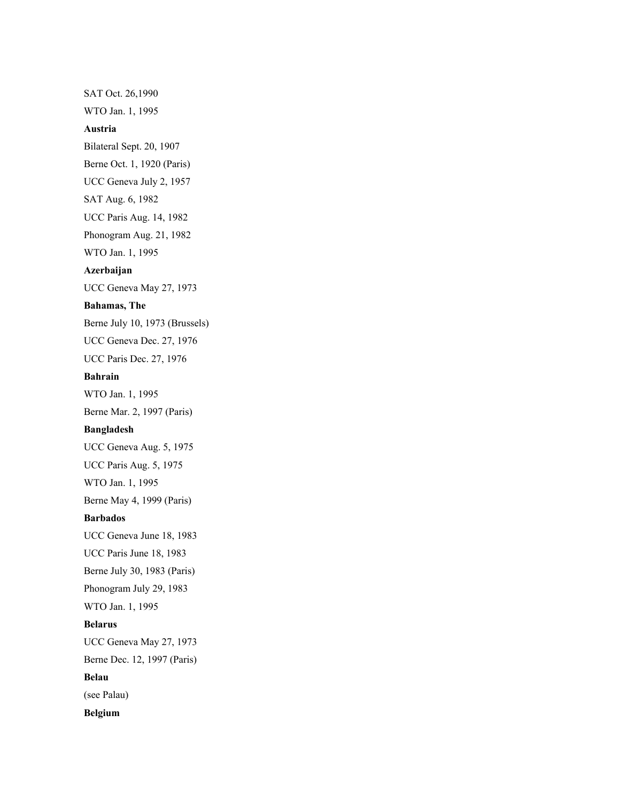SAT Oct. 26,1990 WTO Jan. 1, 1995 **Austria** Bilateral Sept. 20, 1907 Berne Oct. 1, 1920 (Paris) UCC Geneva July 2, 1957 SAT Aug. 6, 1982 UCC Paris Aug. 14, 1982 Phonogram Aug. 21, 1982 WTO Jan. 1, 1995 **Azerbaijan** UCC Geneva May 27, 1973 **Bahamas, The** Berne July 10, 1973 (Brussels) UCC Geneva Dec. 27, 1976 UCC Paris Dec. 27, 1976 **Bahrain** WTO Jan. 1, 1995 Berne Mar. 2, 1997 (Paris) **Bangladesh** UCC Geneva Aug. 5, 1975 UCC Paris Aug. 5, 1975 WTO Jan. 1, 1995 Berne May 4, 1999 (Paris) **Barbados** UCC Geneva June 18, 1983 UCC Paris June 18, 1983 Berne July 30, 1983 (Paris) Phonogram July 29, 1983 WTO Jan. 1, 1995 **Belarus** UCC Geneva May 27, 1973 Berne Dec. 12, 1997 (Paris) **Belau** (see Palau) **Belgium**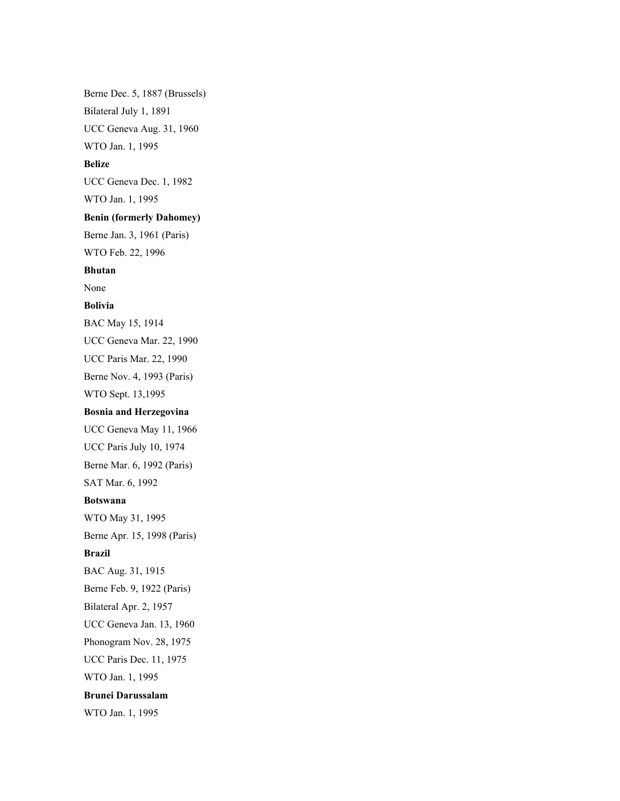Berne Dec. 5, 1887 (Brussels) Bilateral July 1, 1891 UCC Geneva Aug. 31, 1960 WTO Jan. 1, 1995 **Belize** UCC Geneva Dec. 1, 1982 WTO Jan. 1, 1995 **Benin (formerly Dahomey)** Berne Jan. 3, 1961 (Paris) WTO Feb. 22, 1996 **Bhutan** None **Bolivia** BAC May 15, 1914 UCC Geneva Mar. 22, 1990 UCC Paris Mar. 22, 1990 Berne Nov. 4, 1993 (Paris) WTO Sept. 13,1995 **Bosnia and Herzegovina** UCC Geneva May 11, 1966 UCC Paris July 10, 1974 Berne Mar. 6, 1992 (Paris) SAT Mar. 6, 1992 **Botswana** WTO May 31, 1995 Berne Apr. 15, 1998 (Paris) **Brazil** BAC Aug. 31, 1915 Berne Feb. 9, 1922 (Paris) Bilateral Apr. 2, 1957 UCC Geneva Jan. 13, 1960 Phonogram Nov. 28, 1975 UCC Paris Dec. 11, 1975 WTO Jan. 1, 1995 **Brunei Darussalam** WTO Jan. 1, 1995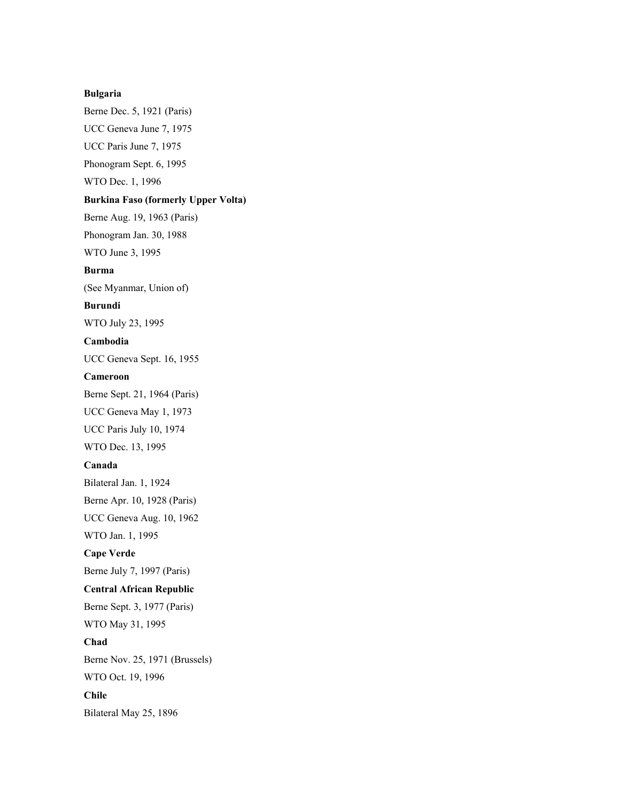**Bulgaria** Berne Dec. 5, 1921 (Paris) UCC Geneva June 7, 1975 UCC Paris June 7, 1975 Phonogram Sept. 6, 1995 WTO Dec. 1, 1996 **Burkina Faso (formerly Upper Volta)** Berne Aug. 19, 1963 (Paris) Phonogram Jan. 30, 1988 WTO June 3, 1995 **Burma** (See Myanmar, Union of) **Burundi** WTO July 23, 1995 **Cambodia** UCC Geneva Sept. 16, 1955 **Cameroon** Berne Sept. 21, 1964 (Paris) UCC Geneva May 1, 1973 UCC Paris July 10, 1974 WTO Dec. 13, 1995 **Canada** Bilateral Jan. 1, 1924 Berne Apr. 10, 1928 (Paris) UCC Geneva Aug. 10, 1962 WTO Jan. 1, 1995 **Cape Verde** Berne July 7, 1997 (Paris) **Central African Republic** Berne Sept. 3, 1977 (Paris) WTO May 31, 1995 **Chad** Berne Nov. 25, 1971 (Brussels) WTO Oct. 19, 1996 **Chile** Bilateral May 25, 1896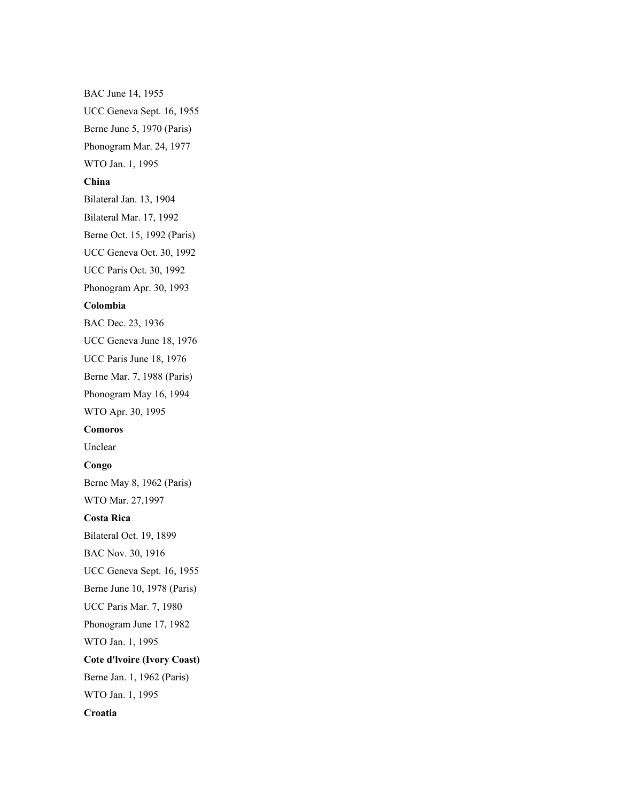BAC June 14, 1955 UCC Geneva Sept. 16, 1955 Berne June 5, 1970 (Paris) Phonogram Mar. 24, 1977 WTO Jan. 1, 1995 **China** Bilateral Jan. 13, 1904 Bilateral Mar. 17, 1992 Berne Oct. 15, 1992 (Paris) UCC Geneva Oct. 30, 1992 UCC Paris Oct. 30, 1992 Phonogram Apr. 30, 1993 **Colombia** BAC Dec. 23, 1936 UCC Geneva June 18, 1976 UCC Paris June 18, 1976 Berne Mar. 7, 1988 (Paris) Phonogram May 16, 1994 WTO Apr. 30, 1995 **Comoros** Unclear **Congo** Berne May 8, 1962 (Paris) WTO Mar. 27,1997 **Costa Rica** Bilateral Oct. 19, 1899 BAC Nov. 30, 1916 UCC Geneva Sept. 16, 1955 Berne June 10, 1978 (Paris) UCC Paris Mar. 7, 1980 Phonogram June 17, 1982 WTO Jan. 1, 1995 **Cote d'lvoire (Ivory Coast)** Berne Jan. 1, 1962 (Paris) WTO Jan. 1, 1995 **Croatia**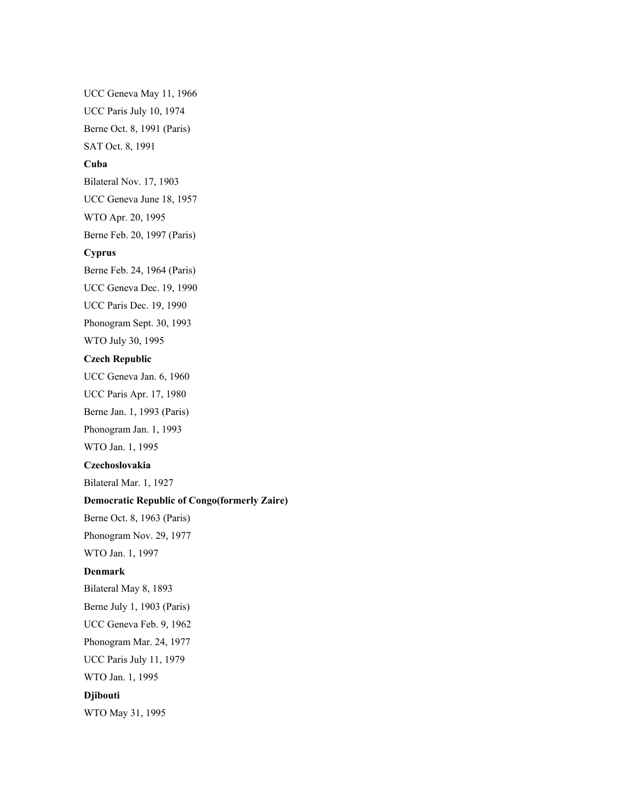UCC Geneva May 11, 1966 UCC Paris July 10, 1974 Berne Oct. 8, 1991 (Paris) SAT Oct. 8, 1991 **Cuba** Bilateral Nov. 17, 1903 UCC Geneva June 18, 1957 WTO Apr. 20, 1995 Berne Feb. 20, 1997 (Paris) **Cyprus** Berne Feb. 24, 1964 (Paris) UCC Geneva Dec. 19, 1990 UCC Paris Dec. 19, 1990 Phonogram Sept. 30, 1993 WTO July 30, 1995 **Czech Republic** UCC Geneva Jan. 6, 1960 UCC Paris Apr. 17, 1980 Berne Jan. 1, 1993 (Paris) Phonogram Jan. 1, 1993 WTO Jan. 1, 1995 **Czechoslovakia** Bilateral Mar. 1, 1927 **Democratic Republic of Congo(formerly Zaire)** Berne Oct. 8, 1963 (Paris) Phonogram Nov. 29, 1977 WTO Jan. 1, 1997 **Denmark** Bilateral May 8, 1893 Berne July 1, 1903 (Paris) UCC Geneva Feb. 9, 1962 Phonogram Mar. 24, 1977

UCC Paris July 11, 1979

WTO Jan. 1, 1995

WTO May 31, 1995

**Djibouti**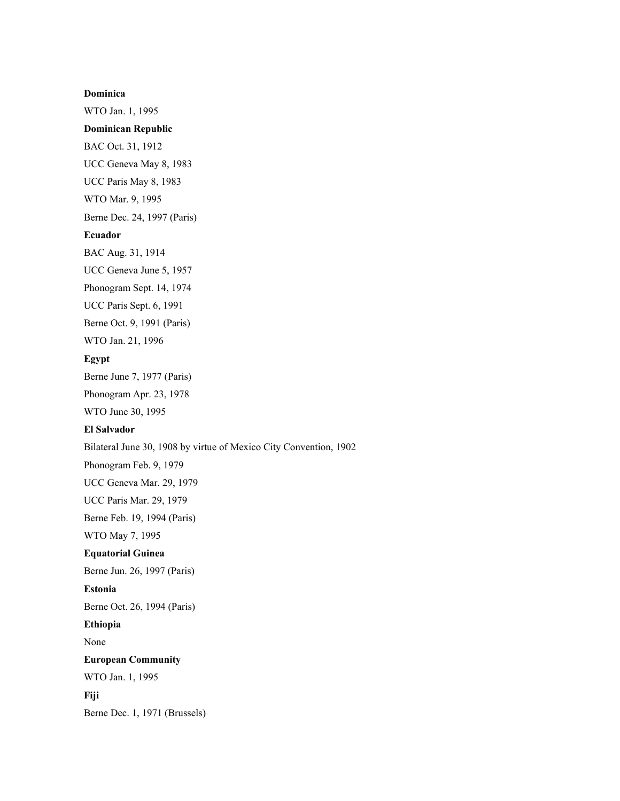### **Dominica**

WTO Jan. 1, 1995

# **Dominican Republic**

BAC Oct. 31, 1912

UCC Geneva May 8, 1983

UCC Paris May 8, 1983

WTO Mar. 9, 1995

Berne Dec. 24, 1997 (Paris)

## **Ecuador**

BAC Aug. 31, 1914

UCC Geneva June 5, 1957

Phonogram Sept. 14, 1974

UCC Paris Sept. 6, 1991

Berne Oct. 9, 1991 (Paris)

WTO Jan. 21, 1996

## **Egypt**

Berne June 7, 1977 (Paris) Phonogram Apr. 23, 1978 WTO June 30, 1995

## **El Salvador**

Bilateral June 30, 1908 by virtue of Mexico City Convention, 1902

Phonogram Feb. 9, 1979

UCC Geneva Mar. 29, 1979

UCC Paris Mar. 29, 1979

Berne Feb. 19, 1994 (Paris)

WTO May 7, 1995

## **Equatorial Guinea**

Berne Jun. 26, 1997 (Paris)

## **Estonia**

Berne Oct. 26, 1994 (Paris)

**Ethiopia**

None

# **European Community**

WTO Jan. 1, 1995

**Fiji**

Berne Dec. 1, 1971 (Brussels)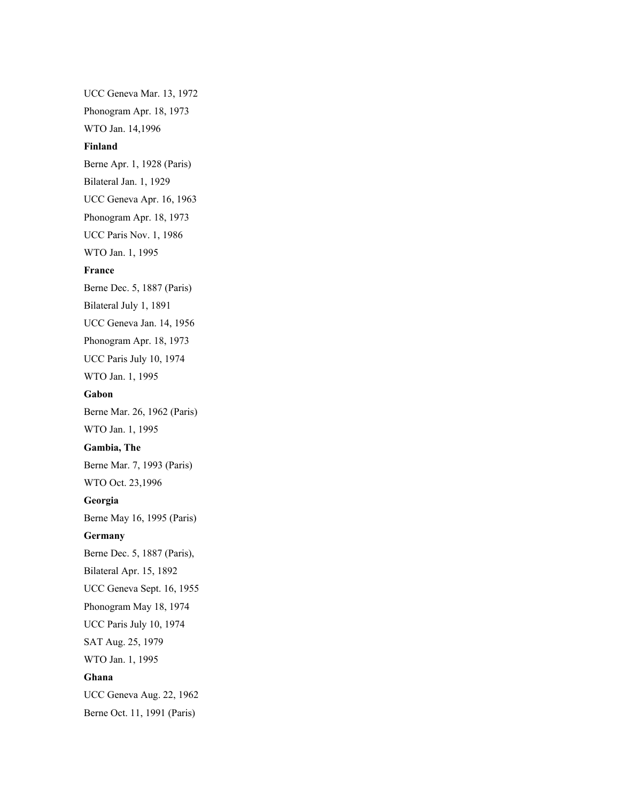UCC Geneva Mar. 13, 1972 Phonogram Apr. 18, 1973 WTO Jan. 14,1996 **Finland** Berne Apr. 1, 1928 (Paris) Bilateral Jan. 1, 1929 UCC Geneva Apr. 16, 1963 Phonogram Apr. 18, 1973 UCC Paris Nov. 1, 1986 WTO Jan. 1, 1995 **France** Berne Dec. 5, 1887 (Paris) Bilateral July 1, 1891 UCC Geneva Jan. 14, 1956 Phonogram Apr. 18, 1973 UCC Paris July 10, 1974 WTO Jan. 1, 1995 **Gabon** Berne Mar. 26, 1962 (Paris) WTO Jan. 1, 1995 **Gambia, The** Berne Mar. 7, 1993 (Paris) WTO Oct. 23,1996 **Georgia** Berne May 16, 1995 (Paris) **Germany** Berne Dec. 5, 1887 (Paris), Bilateral Apr. 15, 1892 UCC Geneva Sept. 16, 1955 Phonogram May 18, 1974 UCC Paris July 10, 1974 SAT Aug. 25, 1979 WTO Jan. 1, 1995 **Ghana** UCC Geneva Aug. 22, 1962 Berne Oct. 11, 1991 (Paris)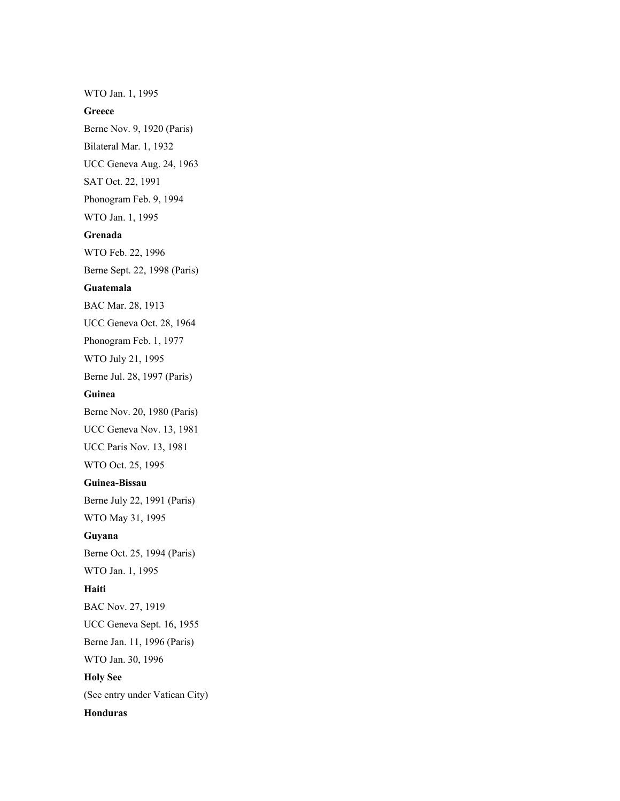WTO Jan. 1, 1995 **Greece** Berne Nov. 9, 1920 (Paris) Bilateral Mar. 1, 1932 UCC Geneva Aug. 24, 1963 SAT Oct. 22, 1991 Phonogram Feb. 9, 1994 WTO Jan. 1, 1995 **Grenada** WTO Feb. 22, 1996 Berne Sept. 22, 1998 (Paris) **Guatemala** BAC Mar. 28, 1913 UCC Geneva Oct. 28, 1964 Phonogram Feb. 1, 1977 WTO July 21, 1995 Berne Jul. 28, 1997 (Paris) **Guinea** Berne Nov. 20, 1980 (Paris) UCC Geneva Nov. 13, 1981 UCC Paris Nov. 13, 1981 WTO Oct. 25, 1995 **Guinea-Bissau** Berne July 22, 1991 (Paris) WTO May 31, 1995 **Guyana** Berne Oct. 25, 1994 (Paris) WTO Jan. 1, 1995 **Haiti** BAC Nov. 27, 1919 UCC Geneva Sept. 16, 1955 Berne Jan. 11, 1996 (Paris) WTO Jan. 30, 1996 **Holy See** (See entry under Vatican City) **Honduras**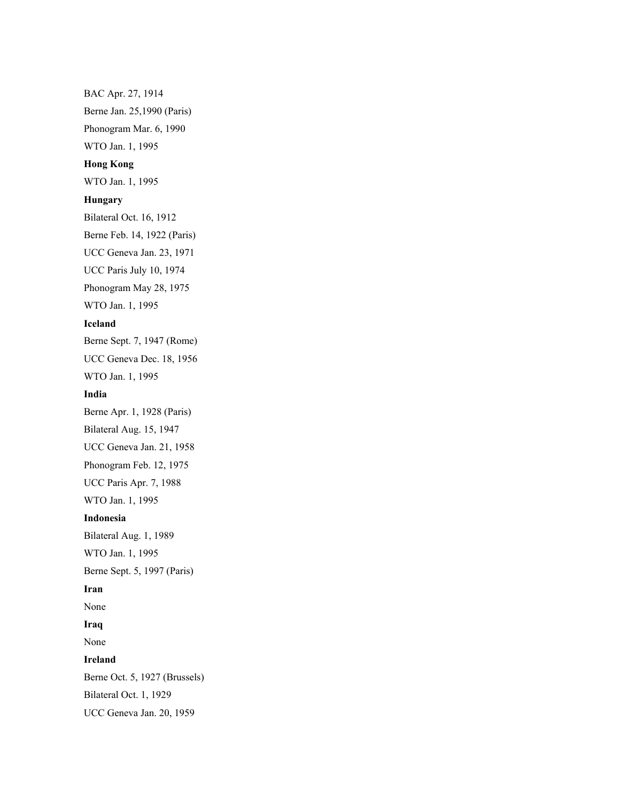BAC Apr. 27, 1914 Berne Jan. 25,1990 (Paris) Phonogram Mar. 6, 1990 WTO Jan. 1, 1995 **Hong Kong** WTO Jan. 1, 1995 **Hungary** Bilateral Oct. 16, 1912 Berne Feb. 14, 1922 (Paris) UCC Geneva Jan. 23, 1971 UCC Paris July 10, 1974 Phonogram May 28, 1975 WTO Jan. 1, 1995 **Iceland** Berne Sept. 7, 1947 (Rome) UCC Geneva Dec. 18, 1956 WTO Jan. 1, 1995 **India** Berne Apr. 1, 1928 (Paris) Bilateral Aug. 15, 1947 UCC Geneva Jan. 21, 1958 Phonogram Feb. 12, 1975 UCC Paris Apr. 7, 1988 WTO Jan. 1, 1995 **Indonesia** Bilateral Aug. 1, 1989 WTO Jan. 1, 1995 Berne Sept. 5, 1997 (Paris) **Iran** None **Iraq** None **Ireland** Berne Oct. 5, 1927 (Brussels) Bilateral Oct. 1, 1929 UCC Geneva Jan. 20, 1959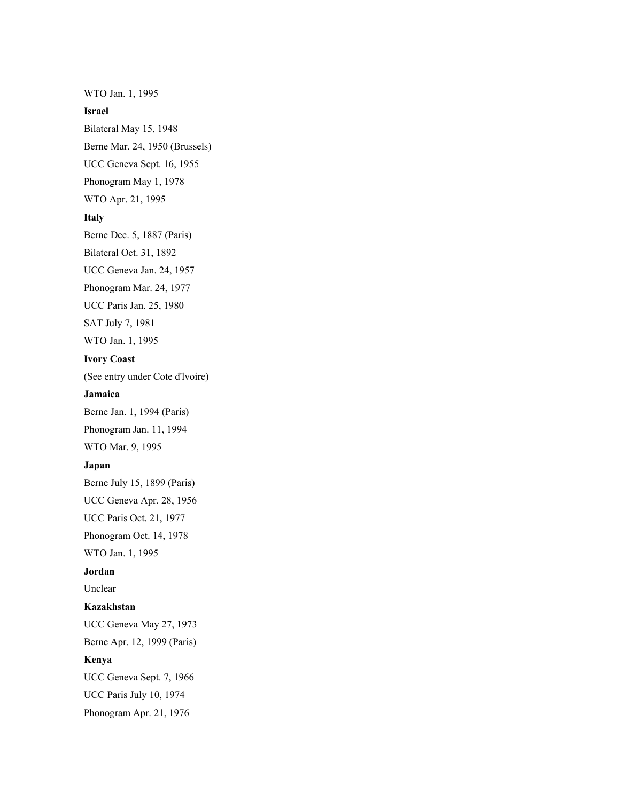WTO Jan. 1, 1995 **Israel** Bilateral May 15, 1948 Berne Mar. 24, 1950 (Brussels) UCC Geneva Sept. 16, 1955 Phonogram May 1, 1978 WTO Apr. 21, 1995 **Italy** Berne Dec. 5, 1887 (Paris) Bilateral Oct. 31, 1892 UCC Geneva Jan. 24, 1957 Phonogram Mar. 24, 1977 UCC Paris Jan. 25, 1980 SAT July 7, 1981 WTO Jan. 1, 1995 **Ivory Coast** (See entry under Cote d'lvoire) **Jamaica** Berne Jan. 1, 1994 (Paris) Phonogram Jan. 11, 1994 WTO Mar. 9, 1995 **Japan** Berne July 15, 1899 (Paris) UCC Geneva Apr. 28, 1956 UCC Paris Oct. 21, 1977 Phonogram Oct. 14, 1978 WTO Jan. 1, 1995 **Jordan** Unclear **Kazakhstan** UCC Geneva May 27, 1973 Berne Apr. 12, 1999 (Paris) **Kenya** UCC Geneva Sept. 7, 1966 UCC Paris July 10, 1974 Phonogram Apr. 21, 1976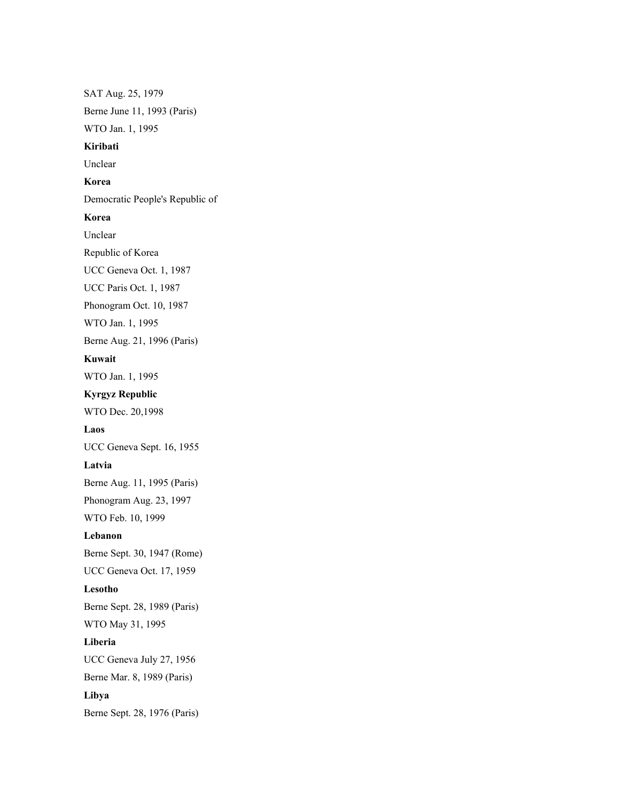SAT Aug. 25, 1979 Berne June 11, 1993 (Paris) WTO Jan. 1, 1995 **Kiribati** Unclear **Korea** Democratic People's Republic of **Korea** Unclear Republic of Korea UCC Geneva Oct. 1, 1987 UCC Paris Oct. 1, 1987 Phonogram Oct. 10, 1987 WTO Jan. 1, 1995 Berne Aug. 21, 1996 (Paris) **Kuwait** WTO Jan. 1, 1995 **Kyrgyz Republic** WTO Dec. 20,1998 **Laos** UCC Geneva Sept. 16, 1955 **Latvia** Berne Aug. 11, 1995 (Paris) Phonogram Aug. 23, 1997 WTO Feb. 10, 1999 **Lebanon** Berne Sept. 30, 1947 (Rome) UCC Geneva Oct. 17, 1959 **Lesotho** Berne Sept. 28, 1989 (Paris) WTO May 31, 1995 **Liberia** UCC Geneva July 27, 1956 Berne Mar. 8, 1989 (Paris) **Libya** Berne Sept. 28, 1976 (Paris)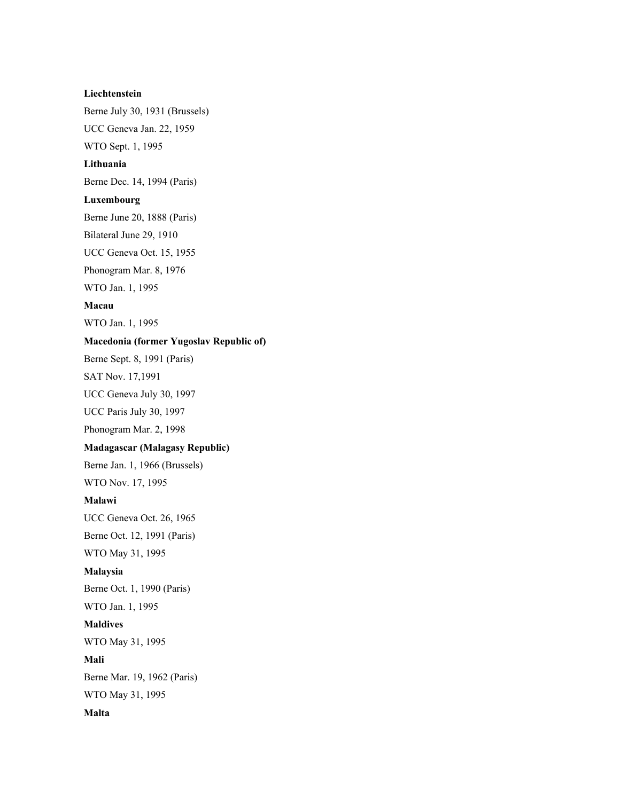# **Liechtenstein** Berne July 30, 1931 (Brussels) UCC Geneva Jan. 22, 1959 WTO Sept. 1, 1995 **Lithuania** Berne Dec. 14, 1994 (Paris) **Luxembourg** Berne June 20, 1888 (Paris) Bilateral June 29, 1910 UCC Geneva Oct. 15, 1955 Phonogram Mar. 8, 1976 WTO Jan. 1, 1995 **Macau** WTO Jan. 1, 1995 **Macedonia (former Yugoslav Republic of)** Berne Sept. 8, 1991 (Paris) SAT Nov. 17,1991 UCC Geneva July 30, 1997 UCC Paris July 30, 1997 Phonogram Mar. 2, 1998 **Madagascar (Malagasy Republic)** Berne Jan. 1, 1966 (Brussels) WTO Nov. 17, 1995 **Malawi** UCC Geneva Oct. 26, 1965 Berne Oct. 12, 1991 (Paris) WTO May 31, 1995 **Malaysia** Berne Oct. 1, 1990 (Paris) WTO Jan. 1, 1995 **Maldives** WTO May 31, 1995 **Mali** Berne Mar. 19, 1962 (Paris) WTO May 31, 1995 **Malta**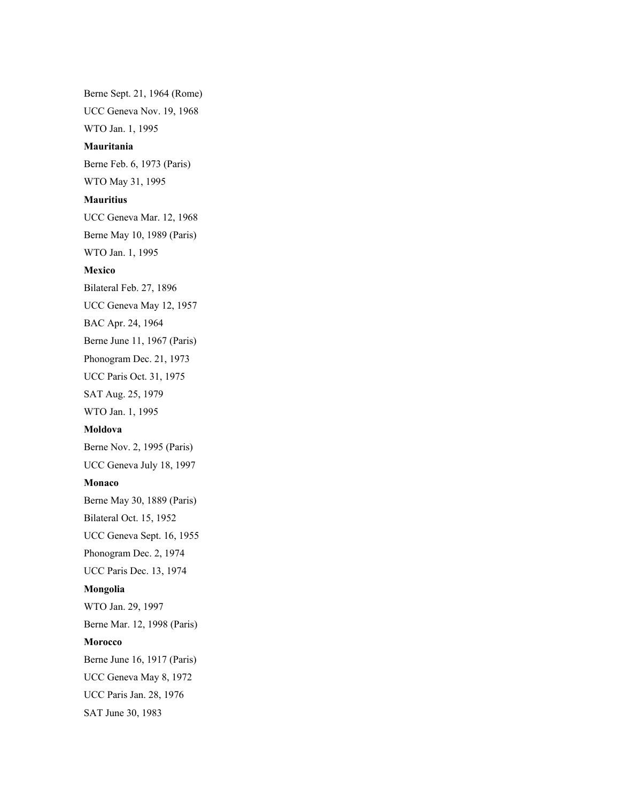Berne Sept. 21, 1964 (Rome) UCC Geneva Nov. 19, 1968 WTO Jan. 1, 1995 **Mauritania** Berne Feb. 6, 1973 (Paris) WTO May 31, 1995 **Mauritius** UCC Geneva Mar. 12, 1968 Berne May 10, 1989 (Paris) WTO Jan. 1, 1995 **Mexico** Bilateral Feb. 27, 1896 UCC Geneva May 12, 1957 BAC Apr. 24, 1964 Berne June 11, 1967 (Paris) Phonogram Dec. 21, 1973 UCC Paris Oct. 31, 1975 SAT Aug. 25, 1979 WTO Jan. 1, 1995 **Moldova** Berne Nov. 2, 1995 (Paris) UCC Geneva July 18, 1997 **Monaco** Berne May 30, 1889 (Paris) Bilateral Oct. 15, 1952 UCC Geneva Sept. 16, 1955 Phonogram Dec. 2, 1974 UCC Paris Dec. 13, 1974 **Mongolia** WTO Jan. 29, 1997 Berne Mar. 12, 1998 (Paris) **Morocco** Berne June 16, 1917 (Paris) UCC Geneva May 8, 1972 UCC Paris Jan. 28, 1976 SAT June 30, 1983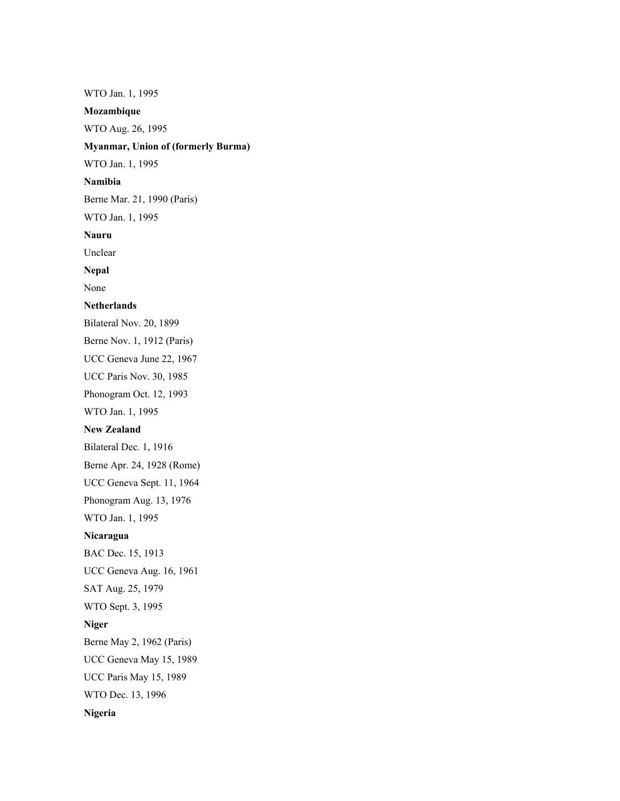WTO Jan. 1, 1995 **Mozambique** WTO Aug. 26, 1995 **Myanmar, Union of (formerly Burma)** WTO Jan. 1, 1995 **Namibia** Berne Mar. 21, 1990 (Paris) WTO Jan. 1, 1995 **Nauru** Unclear **Nepal** None **Netherlands** Bilateral Nov. 20, 1899 Berne Nov. 1, 1912 (Paris) UCC Geneva June 22, 1967 UCC Paris Nov. 30, 1985 Phonogram Oct. 12, 1993 WTO Jan. 1, 1995 **New Zealand** Bilateral Dec. 1, 1916 Berne Apr. 24, 1928 (Rome) UCC Geneva Sept. 11, 1964 Phonogram Aug. 13, 1976 WTO Jan. 1, 1995 **Nicaragua** BAC Dec. 15, 1913 UCC Geneva Aug. 16, 1961 SAT Aug. 25, 1979 WTO Sept. 3, 1995 **Niger** Berne May 2, 1962 (Paris) UCC Geneva May 15, 1989 UCC Paris May 15, 1989 WTO Dec. 13, 1996 **Nigeria**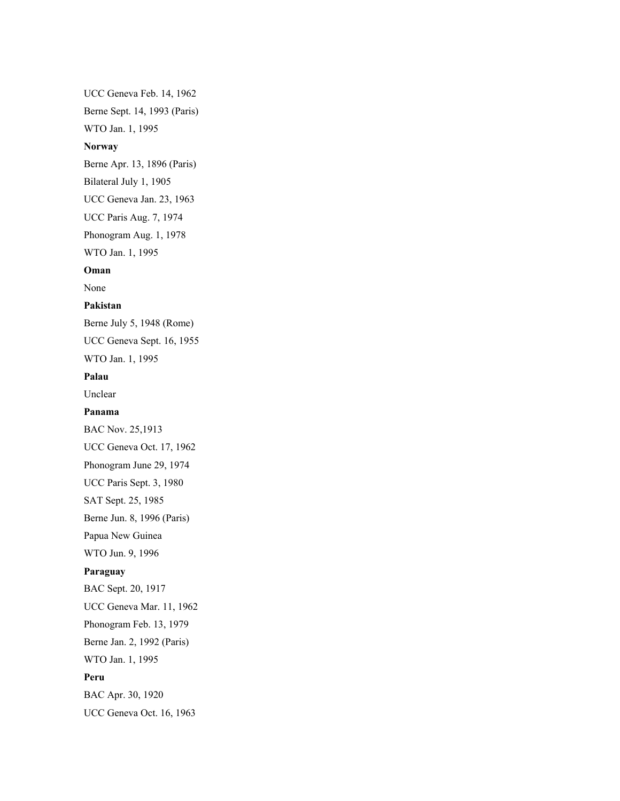UCC Geneva Feb. 14, 1962 Berne Sept. 14, 1993 (Paris) WTO Jan. 1, 1995 **Norway** Berne Apr. 13, 1896 (Paris) Bilateral July 1, 1905 UCC Geneva Jan. 23, 1963 UCC Paris Aug. 7, 1974 Phonogram Aug. 1, 1978 WTO Jan. 1, 1995 **Oman** None **Pakistan** Berne July 5, 1948 (Rome) UCC Geneva Sept. 16, 1955 WTO Jan. 1, 1995 **Palau** Unclear **Panama** BAC Nov. 25,1913 UCC Geneva Oct. 17, 1962 Phonogram June 29, 1974 UCC Paris Sept. 3, 1980 SAT Sept. 25, 1985 Berne Jun. 8, 1996 (Paris) Papua New Guinea WTO Jun. 9, 1996 **Paraguay** BAC Sept. 20, 1917 UCC Geneva Mar. 11, 1962 Phonogram Feb. 13, 1979 Berne Jan. 2, 1992 (Paris) WTO Jan. 1, 1995 **Peru** BAC Apr. 30, 1920 UCC Geneva Oct. 16, 1963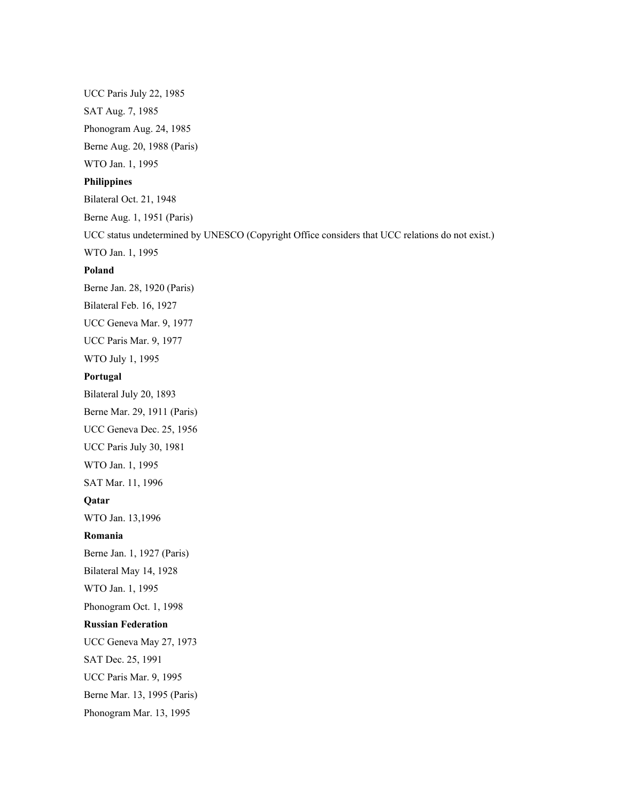UCC Paris July 22, 1985 SAT Aug. 7, 1985 Phonogram Aug. 24, 1985 Berne Aug. 20, 1988 (Paris) WTO Jan. 1, 1995 **Philippines** Bilateral Oct. 21, 1948 Berne Aug. 1, 1951 (Paris) UCC status undetermined by UNESCO (Copyright Office considers that UCC relations do not exist.) WTO Jan. 1, 1995 **Poland** Berne Jan. 28, 1920 (Paris) Bilateral Feb. 16, 1927 UCC Geneva Mar. 9, 1977 UCC Paris Mar. 9, 1977 WTO July 1, 1995 **Portugal** Bilateral July 20, 1893 Berne Mar. 29, 1911 (Paris) UCC Geneva Dec. 25, 1956 UCC Paris July 30, 1981 WTO Jan. 1, 1995 SAT Mar. 11, 1996 **Qatar** WTO Jan. 13,1996 **Romania** Berne Jan. 1, 1927 (Paris) Bilateral May 14, 1928 WTO Jan. 1, 1995 Phonogram Oct. 1, 1998 **Russian Federation** UCC Geneva May 27, 1973 SAT Dec. 25, 1991 UCC Paris Mar. 9, 1995 Berne Mar. 13, 1995 (Paris) Phonogram Mar. 13, 1995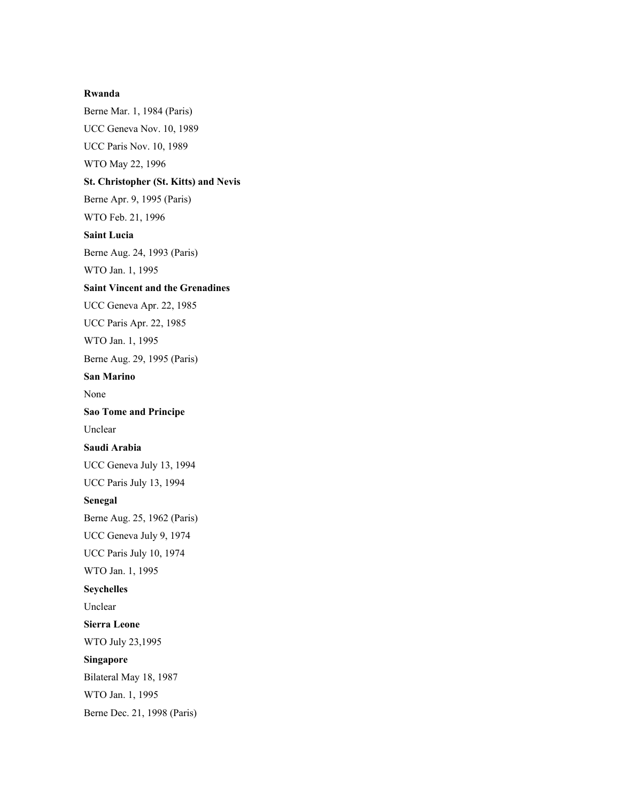**Rwanda** Berne Mar. 1, 1984 (Paris) UCC Geneva Nov. 10, 1989 UCC Paris Nov. 10, 1989 WTO May 22, 1996 **St. Christopher (St. Kitts) and Nevis** Berne Apr. 9, 1995 (Paris) WTO Feb. 21, 1996 **Saint Lucia** Berne Aug. 24, 1993 (Paris) WTO Jan. 1, 1995 **Saint Vincent and the Grenadines** UCC Geneva Apr. 22, 1985 UCC Paris Apr. 22, 1985 WTO Jan. 1, 1995 Berne Aug. 29, 1995 (Paris) **San Marino** None **Sao Tome and Principe** Unclear **Saudi Arabia** UCC Geneva July 13, 1994 UCC Paris July 13, 1994 **Senegal** Berne Aug. 25, 1962 (Paris) UCC Geneva July 9, 1974 UCC Paris July 10, 1974 WTO Jan. 1, 1995 **Seychelles** Unclear **Sierra Leone** WTO July 23,1995 **Singapore** Bilateral May 18, 1987 WTO Jan. 1, 1995 Berne Dec. 21, 1998 (Paris)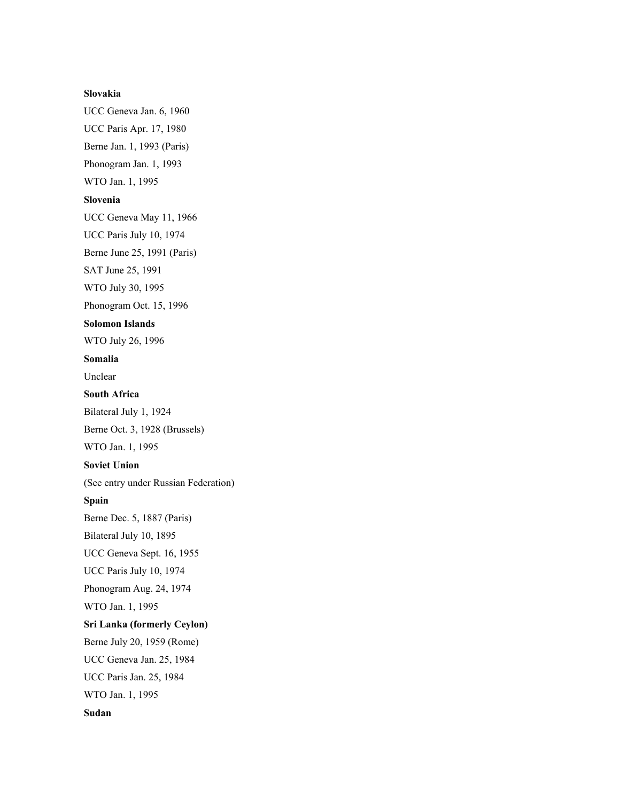## **Slovakia**

UCC Geneva Jan. 6, 1960 UCC Paris Apr. 17, 1980 Berne Jan. 1, 1993 (Paris) Phonogram Jan. 1, 1993 WTO Jan. 1, 1995 **Slovenia** UCC Geneva May 11, 1966 UCC Paris July 10, 1974 Berne June 25, 1991 (Paris) SAT June 25, 1991 WTO July 30, 1995 Phonogram Oct. 15, 1996 **Solomon Islands** WTO July 26, 1996 **Somalia** Unclear **South Africa** Bilateral July 1, 1924 Berne Oct. 3, 1928 (Brussels) WTO Jan. 1, 1995 **Soviet Union** (See entry under Russian Federation) **Spain** Berne Dec. 5, 1887 (Paris) Bilateral July 10, 1895 UCC Geneva Sept. 16, 1955 UCC Paris July 10, 1974 Phonogram Aug. 24, 1974 WTO Jan. 1, 1995 **Sri Lanka (formerly Ceylon)** Berne July 20, 1959 (Rome) UCC Geneva Jan. 25, 1984 UCC Paris Jan. 25, 1984 WTO Jan. 1, 1995

**Sudan**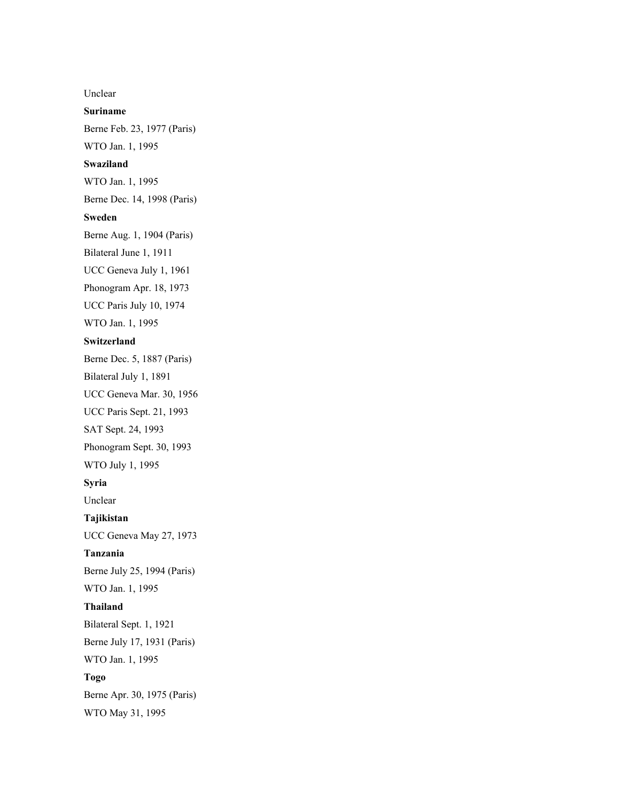Unclear **Suriname** Berne Feb. 23, 1977 (Paris) WTO Jan. 1, 1995 **Swaziland** WTO Jan. 1, 1995 Berne Dec. 14, 1998 (Paris) **Sweden** Berne Aug. 1, 1904 (Paris) Bilateral June 1, 1911 UCC Geneva July 1, 1961 Phonogram Apr. 18, 1973 UCC Paris July 10, 1974 WTO Jan. 1, 1995 **Switzerland** Berne Dec. 5, 1887 (Paris) Bilateral July 1, 1891 UCC Geneva Mar. 30, 1956 UCC Paris Sept. 21, 1993 SAT Sept. 24, 1993 Phonogram Sept. 30, 1993 WTO July 1, 1995 **Syria** Unclear **Tajikistan** UCC Geneva May 27, 1973 **Tanzania** Berne July 25, 1994 (Paris) WTO Jan. 1, 1995 **Thailand** Bilateral Sept. 1, 1921 Berne July 17, 1931 (Paris) WTO Jan. 1, 1995 **Togo** Berne Apr. 30, 1975 (Paris) WTO May 31, 1995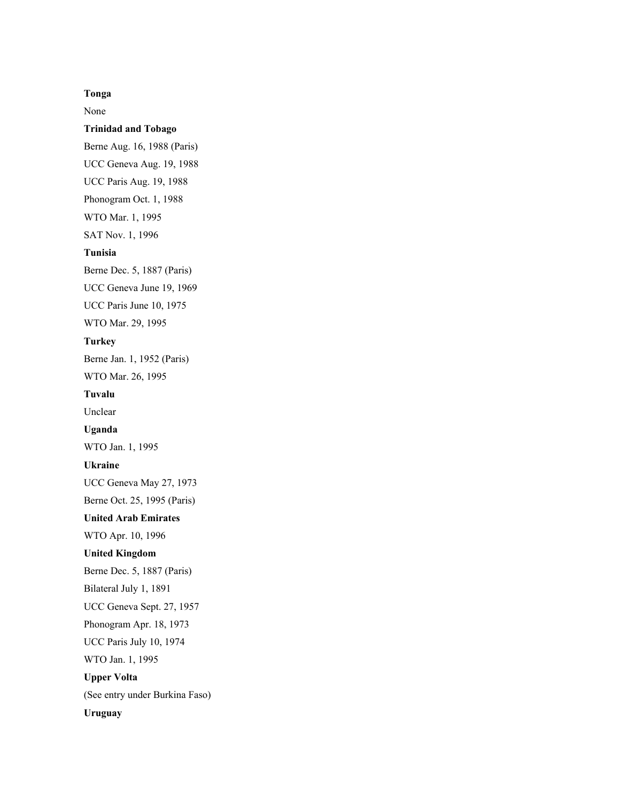**Tonga** None **Trinidad and Tobago** Berne Aug. 16, 1988 (Paris) UCC Geneva Aug. 19, 1988 UCC Paris Aug. 19, 1988 Phonogram Oct. 1, 1988 WTO Mar. 1, 1995 SAT Nov. 1, 1996 **Tunisia** Berne Dec. 5, 1887 (Paris) UCC Geneva June 19, 1969 UCC Paris June 10, 1975 WTO Mar. 29, 1995 **Turkey** Berne Jan. 1, 1952 (Paris) WTO Mar. 26, 1995 **Tuvalu** Unclear **Uganda** WTO Jan. 1, 1995 **Ukraine** UCC Geneva May 27, 1973 Berne Oct. 25, 1995 (Paris) **United Arab Emirates** WTO Apr. 10, 1996 **United Kingdom** Berne Dec. 5, 1887 (Paris) Bilateral July 1, 1891 UCC Geneva Sept. 27, 1957 Phonogram Apr. 18, 1973 UCC Paris July 10, 1974 WTO Jan. 1, 1995 **Upper Volta** (See entry under Burkina Faso) **Uruguay**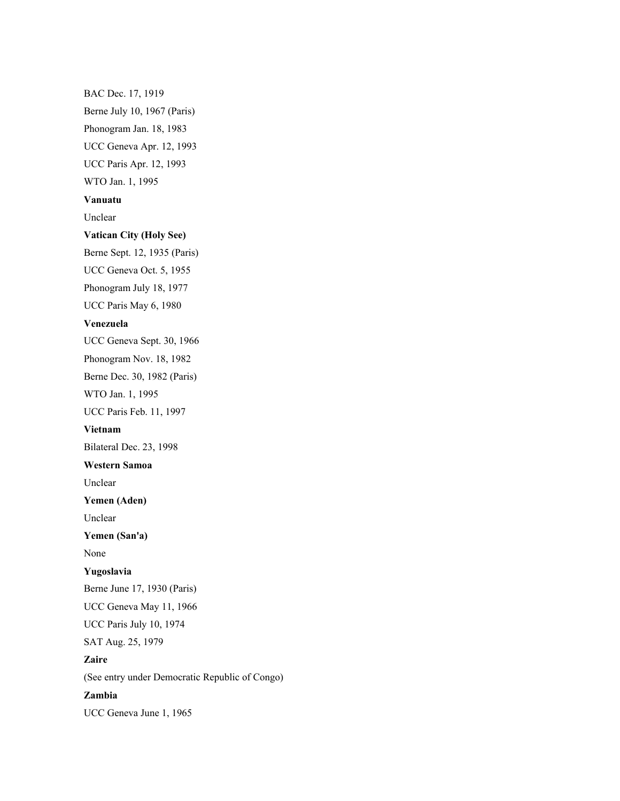BAC Dec. 17, 1919 Berne July 10, 1967 (Paris) Phonogram Jan. 18, 1983 UCC Geneva Apr. 12, 1993 UCC Paris Apr. 12, 1993 WTO Jan. 1, 1995 **Vanuatu** Unclear **Vatican City (Holy See)** Berne Sept. 12, 1935 (Paris) UCC Geneva Oct. 5, 1955 Phonogram July 18, 1977 UCC Paris May 6, 1980 **Venezuela** UCC Geneva Sept. 30, 1966 Phonogram Nov. 18, 1982 Berne Dec. 30, 1982 (Paris) WTO Jan. 1, 1995 UCC Paris Feb. 11, 1997 **Vietnam** Bilateral Dec. 23, 1998 **Western Samoa** Unclear **Yemen (Aden)** Unclear **Yemen (San'a)** None **Yugoslavia** Berne June 17, 1930 (Paris) UCC Geneva May 11, 1966 UCC Paris July 10, 1974 SAT Aug. 25, 1979 **Zaire** (See entry under Democratic Republic of Congo) **Zambia** UCC Geneva June 1, 1965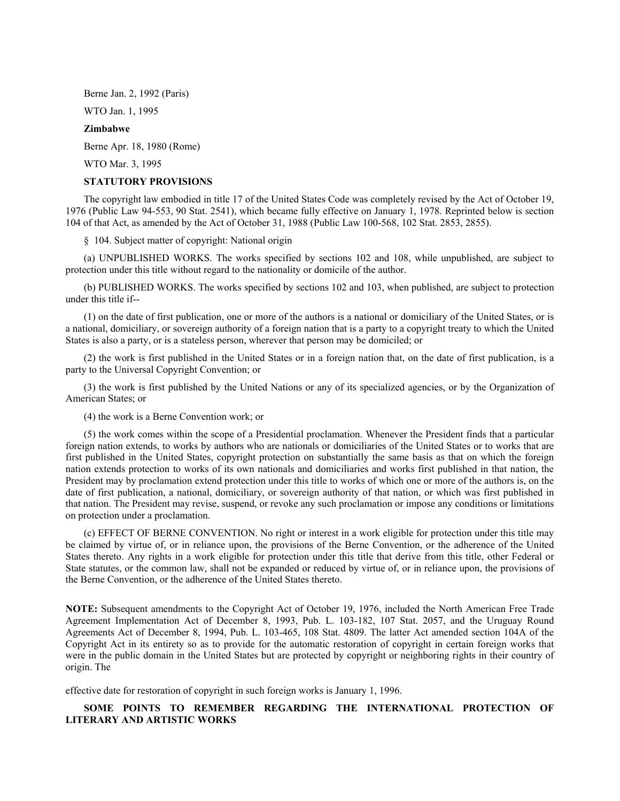Berne Jan. 2, 1992 (Paris)

WTO Jan. 1, 1995

#### **Zimbabwe**

Berne Apr. 18, 1980 (Rome)

WTO Mar. 3, 1995

#### **STATUTORY PROVISIONS**

The copyright law embodied in title 17 of the United States Code was completely revised by the Act of October 19, 1976 (Public Law 94-553, 90 Stat. 2541), which became fully effective on January 1, 1978. Reprinted below is section 104 of that Act, as amended by the Act of October 31, 1988 (Public Law 100-568, 102 Stat. 2853, 2855).

§ 104. Subject matter of copyright: National origin

(a) UNPUBLISHED WORKS. The works specified by sections 102 and 108, while unpublished, are subject to protection under this title without regard to the nationality or domicile of the author.

(b) PUBLISHED WORKS. The works specified by sections 102 and 103, when published, are subject to protection under this title if--

(1) on the date of first publication, one or more of the authors is a national or domiciliary of the United States, or is a national, domiciliary, or sovereign authority of a foreign nation that is a party to a copyright treaty to which the United States is also a party, or is a stateless person, wherever that person may be domiciled; or

(2) the work is first published in the United States or in a foreign nation that, on the date of first publication, is a party to the Universal Copyright Convention; or

(3) the work is first published by the United Nations or any of its specialized agencies, or by the Organization of American States; or

(4) the work is a Berne Convention work; or

(5) the work comes within the scope of a Presidential proclamation. Whenever the President finds that a particular foreign nation extends, to works by authors who are nationals or domiciliaries of the United States or to works that are first published in the United States, copyright protection on substantially the same basis as that on which the foreign nation extends protection to works of its own nationals and domiciliaries and works first published in that nation, the President may by proclamation extend protection under this title to works of which one or more of the authors is, on the date of first publication, a national, domiciliary, or sovereign authority of that nation, or which was first published in that nation. The President may revise, suspend, or revoke any such proclamation or impose any conditions or limitations on protection under a proclamation.

(c) EFFECT OF BERNE CONVENTION. No right or interest in a work eligible for protection under this title may be claimed by virtue of, or in reliance upon, the provisions of the Berne Convention, or the adherence of the United States thereto. Any rights in a work eligible for protection under this title that derive from this title, other Federal or State statutes, or the common law, shall not be expanded or reduced by virtue of, or in reliance upon, the provisions of the Berne Convention, or the adherence of the United States thereto.

**NOTE:** Subsequent amendments to the Copyright Act of October 19, 1976, included the North American Free Trade Agreement Implementation Act of December 8, 1993, Pub. L. 103-182, 107 Stat. 2057, and the Uruguay Round Agreements Act of December 8, 1994, Pub. L. 103-465, 108 Stat. 4809. The latter Act amended section 104A of the Copyright Act in its entirety so as to provide for the automatic restoration of copyright in certain foreign works that were in the public domain in the United States but are protected by copyright or neighboring rights in their country of origin. The

effective date for restoration of copyright in such foreign works is January 1, 1996.

# **SOME POINTS TO REMEMBER REGARDING THE INTERNATIONAL PROTECTION OF LITERARY AND ARTISTIC WORKS**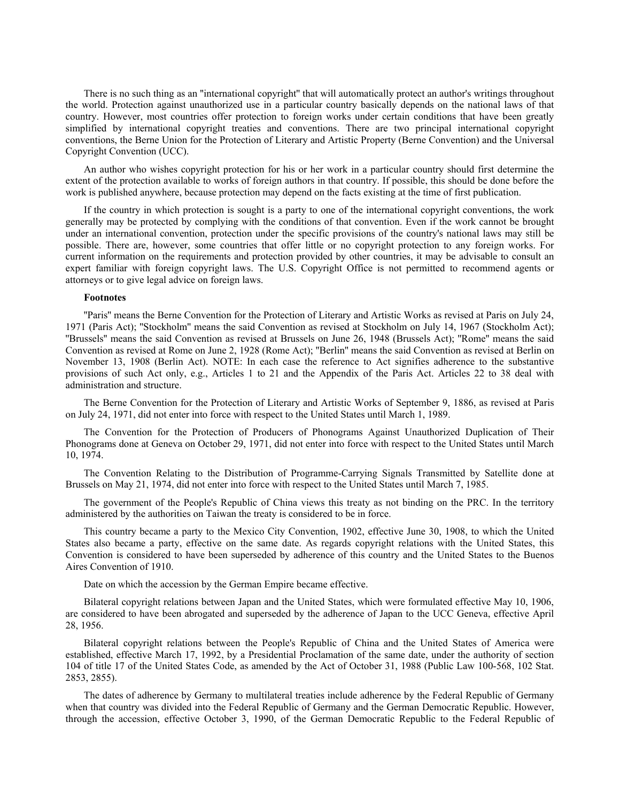There is no such thing as an ''international copyright'' that will automatically protect an author's writings throughout the world. Protection against unauthorized use in a particular country basically depends on the national laws of that country. However, most countries offer protection to foreign works under certain conditions that have been greatly simplified by international copyright treaties and conventions. There are two principal international copyright conventions, the Berne Union for the Protection of Literary and Artistic Property (Berne Convention) and the Universal Copyright Convention (UCC).

An author who wishes copyright protection for his or her work in a particular country should first determine the extent of the protection available to works of foreign authors in that country. If possible, this should be done before the work is published anywhere, because protection may depend on the facts existing at the time of first publication.

If the country in which protection is sought is a party to one of the international copyright conventions, the work generally may be protected by complying with the conditions of that convention. Even if the work cannot be brought under an international convention, protection under the specific provisions of the country's national laws may still be possible. There are, however, some countries that offer little or no copyright protection to any foreign works. For current information on the requirements and protection provided by other countries, it may be advisable to consult an expert familiar with foreign copyright laws. The U.S. Copyright Office is not permitted to recommend agents or attorneys or to give legal advice on foreign laws.

#### **Footnotes**

''Paris'' means the Berne Convention for the Protection of Literary and Artistic Works as revised at Paris on July 24, 1971 (Paris Act); ''Stockholm'' means the said Convention as revised at Stockholm on July 14, 1967 (Stockholm Act); ''Brussels'' means the said Convention as revised at Brussels on June 26, 1948 (Brussels Act); ''Rome'' means the said Convention as revised at Rome on June 2, 1928 (Rome Act); ''Berlin'' means the said Convention as revised at Berlin on November 13, 1908 (Berlin Act). NOTE: In each case the reference to Act signifies adherence to the substantive provisions of such Act only, e.g., Articles 1 to 21 and the Appendix of the Paris Act. Articles 22 to 38 deal with administration and structure.

The Berne Convention for the Protection of Literary and Artistic Works of September 9, 1886, as revised at Paris on July 24, 1971, did not enter into force with respect to the United States until March 1, 1989.

The Convention for the Protection of Producers of Phonograms Against Unauthorized Duplication of Their Phonograms done at Geneva on October 29, 1971, did not enter into force with respect to the United States until March 10, 1974.

The Convention Relating to the Distribution of Programme-Carrying Signals Transmitted by Satellite done at Brussels on May 21, 1974, did not enter into force with respect to the United States until March 7, 1985.

The government of the People's Republic of China views this treaty as not binding on the PRC. In the territory administered by the authorities on Taiwan the treaty is considered to be in force.

This country became a party to the Mexico City Convention, 1902, effective June 30, 1908, to which the United States also became a party, effective on the same date. As regards copyright relations with the United States, this Convention is considered to have been superseded by adherence of this country and the United States to the Buenos Aires Convention of 1910.

Date on which the accession by the German Empire became effective.

Bilateral copyright relations between Japan and the United States, which were formulated effective May 10, 1906, are considered to have been abrogated and superseded by the adherence of Japan to the UCC Geneva, effective April 28, 1956.

Bilateral copyright relations between the People's Republic of China and the United States of America were established, effective March 17, 1992, by a Presidential Proclamation of the same date, under the authority of section 104 of title 17 of the United States Code, as amended by the Act of October 31, 1988 (Public Law 100-568, 102 Stat. 2853, 2855).

The dates of adherence by Germany to multilateral treaties include adherence by the Federal Republic of Germany when that country was divided into the Federal Republic of Germany and the German Democratic Republic. However, through the accession, effective October 3, 1990, of the German Democratic Republic to the Federal Republic of